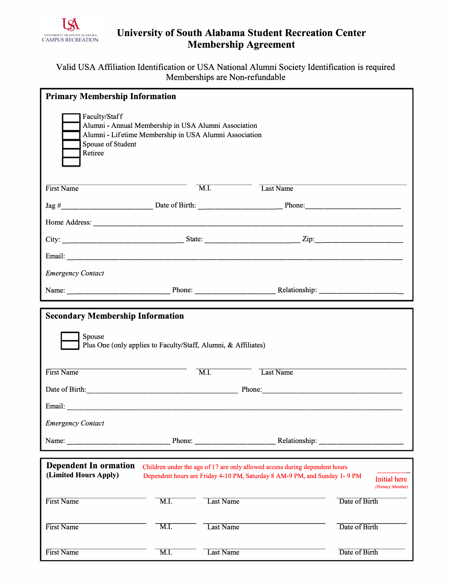

## **University of South Alabama Student Recreation Center Membership Agreement**

## Valid USA Affiliation Identification or USA National Alumni Society Identification is required Memberships are Non-refundable

| <b>Primary Membership Information</b>                                                                                                                                                                                          |                   |                   |                                                                                                                                                          |                                         |  |  |
|--------------------------------------------------------------------------------------------------------------------------------------------------------------------------------------------------------------------------------|-------------------|-------------------|----------------------------------------------------------------------------------------------------------------------------------------------------------|-----------------------------------------|--|--|
| Faculty/Staff<br>Alumni - Annual Membership in USA Alumni Association<br>Alumni - Lifetime Membership in USA Alumni Association<br>Spouse of Student<br>Retiree                                                                |                   |                   |                                                                                                                                                          |                                         |  |  |
| First Name                                                                                                                                                                                                                     |                   | $\overline{M.I.}$ | Last Name                                                                                                                                                |                                         |  |  |
|                                                                                                                                                                                                                                |                   |                   |                                                                                                                                                          |                                         |  |  |
|                                                                                                                                                                                                                                |                   |                   |                                                                                                                                                          |                                         |  |  |
|                                                                                                                                                                                                                                |                   |                   |                                                                                                                                                          |                                         |  |  |
|                                                                                                                                                                                                                                |                   |                   |                                                                                                                                                          |                                         |  |  |
| <b>Emergency Contact</b>                                                                                                                                                                                                       |                   |                   |                                                                                                                                                          |                                         |  |  |
|                                                                                                                                                                                                                                |                   |                   |                                                                                                                                                          |                                         |  |  |
| <b>Secondary Membership Information</b>                                                                                                                                                                                        |                   |                   |                                                                                                                                                          |                                         |  |  |
| Spouse<br>Plus One (only applies to Faculty/Staff, Alumni, & Affiliates)                                                                                                                                                       |                   |                   |                                                                                                                                                          |                                         |  |  |
| First Name                                                                                                                                                                                                                     |                   | $\overline{M.I.}$ | Last Name                                                                                                                                                |                                         |  |  |
|                                                                                                                                                                                                                                |                   |                   |                                                                                                                                                          |                                         |  |  |
| Email: 2008. 2008. 2009. 2009. 2009. 2009. 2010. 2012. 2013. 2014. 2015. 2016. 2017. 2018. 2019. 2016. 2017. 2017. 2017. 2017. 2017. 2017. 2017. 2017. 2017. 2017. 2017. 2017. 2017. 2017. 2017. 2017. 2017. 2017. 2017. 2017. |                   |                   |                                                                                                                                                          |                                         |  |  |
| <b>Emergency Contact</b>                                                                                                                                                                                                       |                   |                   |                                                                                                                                                          |                                         |  |  |
| Name: Phone: Phone: Relationship: Relationship:                                                                                                                                                                                |                   |                   |                                                                                                                                                          |                                         |  |  |
| <b>Dependent In ormation</b>                                                                                                                                                                                                   |                   |                   |                                                                                                                                                          |                                         |  |  |
| (Limited Hours Apply)                                                                                                                                                                                                          |                   |                   | Children under the age of 17 are only allowed access during dependent hours<br>Dependent hours are Friday 4-10 PM, Saturday 8 AM-9 PM, and Sunday 1-9 PM | <b>Initial</b> here<br>(Primary Member) |  |  |
| First Name                                                                                                                                                                                                                     | $\overline{M.I.}$ | Last Name         |                                                                                                                                                          | Date of Birth                           |  |  |
| First Name                                                                                                                                                                                                                     | $\overline{M.I.}$ | Last Name         |                                                                                                                                                          | Date of Birth                           |  |  |
| First Name                                                                                                                                                                                                                     | $\overline{M.I.}$ | <b>Last Name</b>  |                                                                                                                                                          | Date of Birth                           |  |  |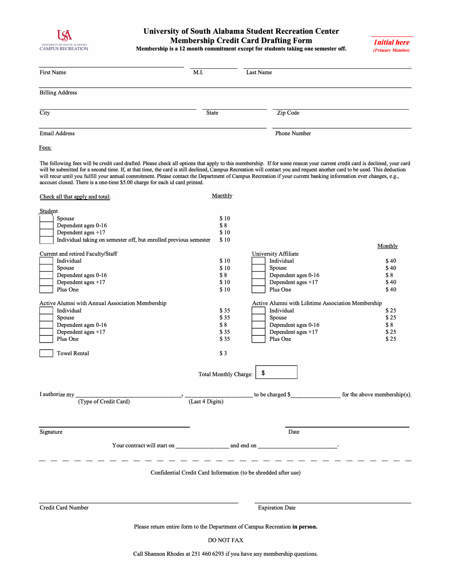

## **University of South Alabama Student Recreation Center Membership Credit Card Drafting Form Membership is a 12 month commitment except for students taking one semester off.**

*\_\_\_\_\_\_\_\_\_\_\_ I***nitial here**  *(P***rimary Member***)*

| <b>First Name</b>                                                                                                                                                                                                                                                                                                                                                                                                                                                                                                                                                                                         | M.I.                                                                                                                                      | Last Name                                                                                                                                                                                                                                          |                                                                                       |
|-----------------------------------------------------------------------------------------------------------------------------------------------------------------------------------------------------------------------------------------------------------------------------------------------------------------------------------------------------------------------------------------------------------------------------------------------------------------------------------------------------------------------------------------------------------------------------------------------------------|-------------------------------------------------------------------------------------------------------------------------------------------|----------------------------------------------------------------------------------------------------------------------------------------------------------------------------------------------------------------------------------------------------|---------------------------------------------------------------------------------------|
| <b>Billing Address</b>                                                                                                                                                                                                                                                                                                                                                                                                                                                                                                                                                                                    |                                                                                                                                           |                                                                                                                                                                                                                                                    |                                                                                       |
| City                                                                                                                                                                                                                                                                                                                                                                                                                                                                                                                                                                                                      | <b>State</b>                                                                                                                              |                                                                                                                                                                                                                                                    |                                                                                       |
| <b>Email Address</b>                                                                                                                                                                                                                                                                                                                                                                                                                                                                                                                                                                                      |                                                                                                                                           | <b>Phone Number</b>                                                                                                                                                                                                                                |                                                                                       |
| Fees:                                                                                                                                                                                                                                                                                                                                                                                                                                                                                                                                                                                                     |                                                                                                                                           |                                                                                                                                                                                                                                                    |                                                                                       |
| The following fees will be credit card drafted. Please check all options that apply to this membership. If for some reason your current credit card is declined, your card<br>will be submitted for a second time. If, at that time, the card is still declined, Campus Recreation will contact you and request another card to be used. This deduction<br>will recur until you fulfill your annual commitment. Please contact the Department of Campus Recreation if your current banking information ever changes, e.g.,<br>account closed. There is a one-time \$5.00 charge for each id card printed. |                                                                                                                                           |                                                                                                                                                                                                                                                    |                                                                                       |
| Check all that apply and total:                                                                                                                                                                                                                                                                                                                                                                                                                                                                                                                                                                           | Monthly                                                                                                                                   |                                                                                                                                                                                                                                                    |                                                                                       |
| Student<br>Spouse<br>Dependent ages 0-16<br>Dependent ages $+17$<br>Individual taking on semester off, but enrolled previous semester<br>Current and retired Faculty/Staff<br>Individual<br>Spouse<br>Dependent ages 0-16<br>Dependent ages +17<br>Plus One<br>Active Alumni with Annual Association Membership<br>Individual<br>Spouse<br>Dependent ages 0-16<br>Dependent ages +17<br>Plus One<br><b>Towel Rental</b>                                                                                                                                                                                   | \$10<br>\$8<br>\$10<br>\$10<br>\$10<br>\$10<br>\$8<br>\$10<br>\$10<br>\$35<br>\$35<br>\$8<br>\$35<br>\$35<br>\$3<br>Total Monthly Charge: | University Affiliate<br>Individual<br>Spouse<br>Dependent ages 0-16<br>Dependent ages +17<br>Plus One<br>Active Alumni with Lifetime Association Membership<br>Individual<br>Spouse<br>Dependent ages 0-16<br>Dependent ages +17<br>Plus One<br>\$ | Monthly<br>\$40<br>\$40<br>\$8<br>\$40<br>\$40<br>\$25<br>\$25<br>\$8<br>\$25<br>\$25 |
| I authorize my<br>(Type of Credit Card)                                                                                                                                                                                                                                                                                                                                                                                                                                                                                                                                                                   | (Last 4 Digits)                                                                                                                           | to be charged \$                                                                                                                                                                                                                                   | for the above membership(s).                                                          |
| Signature                                                                                                                                                                                                                                                                                                                                                                                                                                                                                                                                                                                                 |                                                                                                                                           | Date<br>Confidential Credit Card Information (to be shredded after use)                                                                                                                                                                            |                                                                                       |
| Credit Card Number                                                                                                                                                                                                                                                                                                                                                                                                                                                                                                                                                                                        |                                                                                                                                           | <b>Expiration Date</b>                                                                                                                                                                                                                             |                                                                                       |
|                                                                                                                                                                                                                                                                                                                                                                                                                                                                                                                                                                                                           |                                                                                                                                           | Please return entire form to the Department of Campus Recreation in person.                                                                                                                                                                        |                                                                                       |
|                                                                                                                                                                                                                                                                                                                                                                                                                                                                                                                                                                                                           | DO NOT FAX                                                                                                                                |                                                                                                                                                                                                                                                    |                                                                                       |

Call Shannon Rhodes at 251 460 6293 if you have any membership questions.